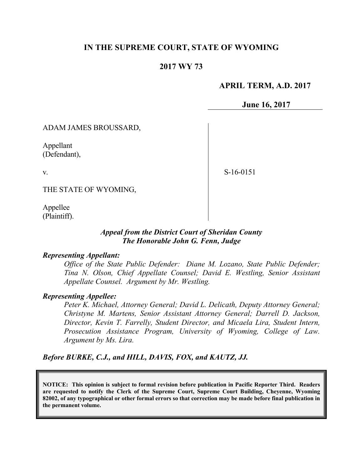# **IN THE SUPREME COURT, STATE OF WYOMING**

# **2017 WY 73**

# **APRIL TERM, A.D. 2017**

**June 16, 2017**

ADAM JAMES BROUSSARD,

Appellant (Defendant),

v.

S-16-0151

THE STATE OF WYOMING,

Appellee (Plaintiff).

# *Appeal from the District Court of Sheridan County The Honorable John G. Fenn, Judge*

#### *Representing Appellant:*

*Office of the State Public Defender: Diane M. Lozano, State Public Defender; Tina N. Olson, Chief Appellate Counsel; David E. Westling, Senior Assistant Appellate Counsel. Argument by Mr. Westling.*

### *Representing Appellee:*

*Peter K. Michael, Attorney General; David L. Delicath, Deputy Attorney General; Christyne M. Martens, Senior Assistant Attorney General; Darrell D. Jackson, Director, Kevin T. Farrelly, Student Director, and Micaela Lira, Student Intern, Prosecution Assistance Program, University of Wyoming, College of Law. Argument by Ms. Lira.*

*Before BURKE, C.J., and HILL, DAVIS, FOX, and KAUTZ, JJ.*

**NOTICE: This opinion is subject to formal revision before publication in Pacific Reporter Third. Readers are requested to notify the Clerk of the Supreme Court, Supreme Court Building, Cheyenne, Wyoming 82002, of any typographical or other formal errors so that correction may be made before final publication in the permanent volume.**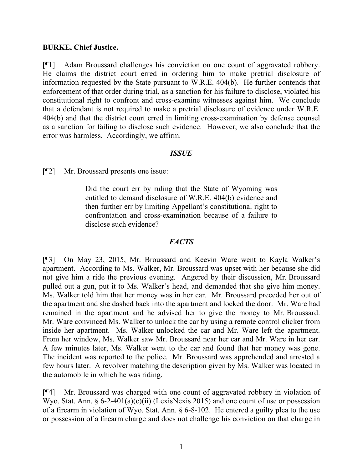### **BURKE, Chief Justice.**

[¶1] Adam Broussard challenges his conviction on one count of aggravated robbery. He claims the district court erred in ordering him to make pretrial disclosure of information requested by the State pursuant to W.R.E. 404(b). He further contends that enforcement of that order during trial, as a sanction for his failure to disclose, violated his constitutional right to confront and cross-examine witnesses against him. We conclude that a defendant is not required to make a pretrial disclosure of evidence under W.R.E. 404(b) and that the district court erred in limiting cross-examination by defense counsel as a sanction for failing to disclose such evidence. However, we also conclude that the error was harmless. Accordingly, we affirm.

### *ISSUE*

[¶2] Mr. Broussard presents one issue:

Did the court err by ruling that the State of Wyoming was entitled to demand disclosure of W.R.E. 404(b) evidence and then further err by limiting Appellant's constitutional right to confrontation and cross-examination because of a failure to disclose such evidence?

# *FACTS*

[¶3] On May 23, 2015, Mr. Broussard and Keevin Ware went to Kayla Walker's apartment. According to Ms. Walker, Mr. Broussard was upset with her because she did not give him a ride the previous evening. Angered by their discussion, Mr. Broussard pulled out a gun, put it to Ms. Walker's head, and demanded that she give him money. Ms. Walker told him that her money was in her car. Mr. Broussard preceded her out of the apartment and she dashed back into the apartment and locked the door. Mr. Ware had remained in the apartment and he advised her to give the money to Mr. Broussard. Mr. Ware convinced Ms. Walker to unlock the car by using a remote control clicker from inside her apartment. Ms. Walker unlocked the car and Mr. Ware left the apartment. From her window, Ms. Walker saw Mr. Broussard near her car and Mr. Ware in her car. A few minutes later, Ms. Walker went to the car and found that her money was gone. The incident was reported to the police. Mr. Broussard was apprehended and arrested a few hours later. A revolver matching the description given by Ms. Walker was located in the automobile in which he was riding.

[¶4] Mr. Broussard was charged with one count of aggravated robbery in violation of Wyo. Stat. Ann.  $\S 6-2-401(a)(c)(ii)$  (LexisNexis 2015) and one count of use or possession of a firearm in violation of Wyo. Stat. Ann. § 6-8-102. He entered a guilty plea to the use or possession of a firearm charge and does not challenge his conviction on that charge in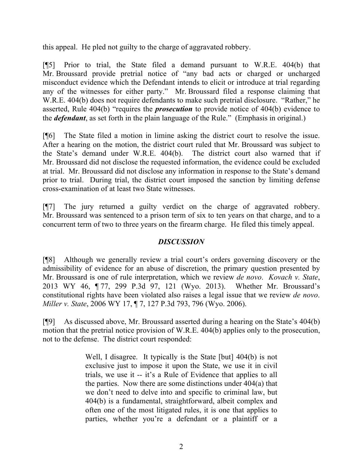this appeal. He pled not guilty to the charge of aggravated robbery.

[¶5] Prior to trial, the State filed a demand pursuant to W.R.E. 404(b) that Mr. Broussard provide pretrial notice of "any bad acts or charged or uncharged misconduct evidence which the Defendant intends to elicit or introduce at trial regarding any of the witnesses for either party." Mr. Broussard filed a response claiming that W.R.E. 404(b) does not require defendants to make such pretrial disclosure. "Rather," he asserted, Rule 404(b) "requires the *prosecution* to provide notice of 404(b) evidence to the *defendant*, as set forth in the plain language of the Rule." (Emphasis in original.)

[¶6] The State filed a motion in limine asking the district court to resolve the issue. After a hearing on the motion, the district court ruled that Mr. Broussard was subject to the State's demand under W.R.E. 404(b). The district court also warned that if Mr. Broussard did not disclose the requested information, the evidence could be excluded at trial. Mr. Broussard did not disclose any information in response to the State's demand prior to trial. During trial, the district court imposed the sanction by limiting defense cross-examination of at least two State witnesses.

[¶7] The jury returned a guilty verdict on the charge of aggravated robbery. Mr. Broussard was sentenced to a prison term of six to ten years on that charge, and to a concurrent term of two to three years on the firearm charge. He filed this timely appeal.

# *DISCUSSION*

[¶8] Although we generally review a trial court's orders governing discovery or the admissibility of evidence for an abuse of discretion, the primary question presented by Mr. Broussard is one of rule interpretation, which we review *de novo*. *Kovach v. State*, 2013 WY 46, ¶ 77, 299 P.3d 97, 121 (Wyo. 2013). Whether Mr. Broussard's constitutional rights have been violated also raises a legal issue that we review *de novo*. *Miller v. State*, 2006 WY 17, ¶ 7, 127 P.3d 793, 796 (Wyo. 2006).

[¶9] As discussed above, Mr. Broussard asserted during a hearing on the State's 404(b) motion that the pretrial notice provision of W.R.E. 404(b) applies only to the prosecution, not to the defense. The district court responded:

> Well, I disagree. It typically is the State [but] 404(b) is not exclusive just to impose it upon the State, we use it in civil trials, we use it -- it's a Rule of Evidence that applies to all the parties. Now there are some distinctions under 404(a) that we don't need to delve into and specific to criminal law, but 404(b) is a fundamental, straightforward, albeit complex and often one of the most litigated rules, it is one that applies to parties, whether you're a defendant or a plaintiff or a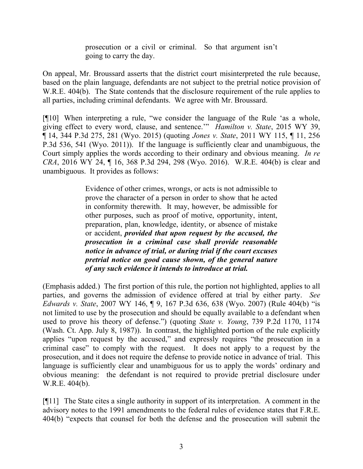prosecution or a civil or criminal. So that argument isn't going to carry the day.

On appeal, Mr. Broussard asserts that the district court misinterpreted the rule because, based on the plain language, defendants are not subject to the pretrial notice provision of W.R.E. 404(b). The State contends that the disclosure requirement of the rule applies to all parties, including criminal defendants. We agree with Mr. Broussard.

[¶10] When interpreting a rule, "we consider the language of the Rule 'as a whole, giving effect to every word, clause, and sentence.'" *Hamilton v. State*, 2015 WY 39, ¶ 14, 344 P.3d 275, 281 (Wyo. 2015) (quoting *Jones v. State*, 2011 WY 115, ¶ 11, 256 P.3d 536, 541 (Wyo. 2011)). If the language is sufficiently clear and unambiguous, the Court simply applies the words according to their ordinary and obvious meaning. *In re CRA*, 2016 WY 24, ¶ 16, 368 P.3d 294, 298 (Wyo. 2016). W.R.E. 404(b) is clear and unambiguous. It provides as follows:

> Evidence of other crimes, wrongs, or acts is not admissible to prove the character of a person in order to show that he acted in conformity therewith. It may, however, be admissible for other purposes, such as proof of motive, opportunity, intent, preparation, plan, knowledge, identity, or absence of mistake or accident, *provided that upon request by the accused, the prosecution in a criminal case shall provide reasonable notice in advance of trial, or during trial if the court excuses pretrial notice on good cause shown, of the general nature of any such evidence it intends to introduce at trial.*

(Emphasis added.) The first portion of this rule, the portion not highlighted, applies to all parties, and governs the admission of evidence offered at trial by either party. *See Edwards v. State*, 2007 WY 146, ¶ 9, 167 P.3d 636, 638 (Wyo. 2007) (Rule 404(b) "is not limited to use by the prosecution and should be equally available to a defendant when used to prove his theory of defense.") (quoting *State v. Young*, 739 P.2d 1170, 1174 (Wash. Ct. App. July 8, 1987)). In contrast, the highlighted portion of the rule explicitly applies "upon request by the accused," and expressly requires "the prosecution in a criminal case" to comply with the request. It does not apply to a request by the prosecution, and it does not require the defense to provide notice in advance of trial. This language is sufficiently clear and unambiguous for us to apply the words' ordinary and obvious meaning: the defendant is not required to provide pretrial disclosure under W.R.E. 404(b).

[¶11] The State cites a single authority in support of its interpretation. A comment in the advisory notes to the 1991 amendments to the federal rules of evidence states that F.R.E. 404(b) "expects that counsel for both the defense and the prosecution will submit the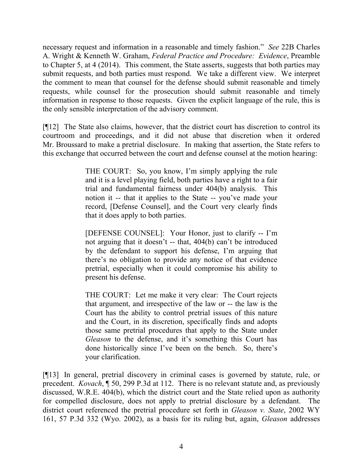necessary request and information in a reasonable and timely fashion." *See* 22B Charles A. Wright & Kenneth W. Graham, *Federal Practice and Procedure: Evidence*, Preamble to Chapter 5, at 4 (2014). This comment, the State asserts, suggests that both parties may submit requests, and both parties must respond. We take a different view. We interpret the comment to mean that counsel for the defense should submit reasonable and timely requests, while counsel for the prosecution should submit reasonable and timely information in response to those requests. Given the explicit language of the rule, this is the only sensible interpretation of the advisory comment.

[¶12] The State also claims, however, that the district court has discretion to control its courtroom and proceedings, and it did not abuse that discretion when it ordered Mr. Broussard to make a pretrial disclosure. In making that assertion, the State refers to this exchange that occurred between the court and defense counsel at the motion hearing:

> THE COURT:So, you know, I'm simply applying the rule and it is a level playing field, both parties have a right to a fair trial and fundamental fairness under 404(b) analysis. This notion it -- that it applies to the State -- you've made your record, [Defense Counsel], and the Court very clearly finds that it does apply to both parties.

> [DEFENSE COUNSEL]: Your Honor, just to clarify -- I'm not arguing that it doesn't -- that, 404(b) can't be introduced by the defendant to support his defense, I'm arguing that there's no obligation to provide any notice of that evidence pretrial, especially when it could compromise his ability to present his defense.

> THE COURT: Let me make it very clear: The Court rejects that argument, and irrespective of the law or -- the law is the Court has the ability to control pretrial issues of this nature and the Court, in its discretion, specifically finds and adopts those same pretrial procedures that apply to the State under *Gleason* to the defense, and it's something this Court has done historically since I've been on the bench. So, there's your clarification.

[¶13] In general, pretrial discovery in criminal cases is governed by statute, rule, or precedent. *Kovach*, ¶ 50, 299 P.3d at 112. There is no relevant statute and, as previously discussed, W.R.E. 404(b), which the district court and the State relied upon as authority for compelled disclosure, does not apply to pretrial disclosure by a defendant. The district court referenced the pretrial procedure set forth in *Gleason v. State*, 2002 WY 161, 57 P.3d 332 (Wyo. 2002), as a basis for its ruling but, again, *Gleason* addresses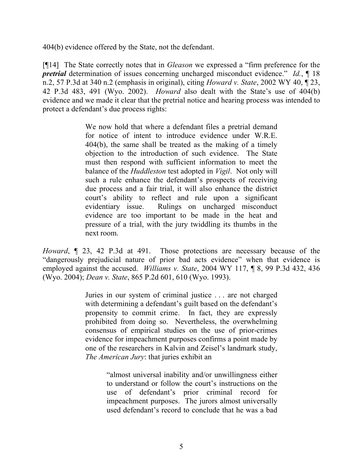404(b) evidence offered by the State, not the defendant.

[¶14] The State correctly notes that in *Gleason* we expressed a "firm preference for the *pretrial* determination of issues concerning uncharged misconduct evidence." *Id.*, ¶ 18 n.2, 57 P.3d at 340 n.2 (emphasis in original), citing *Howard v. State*, 2002 WY 40, ¶ 23, 42 P.3d 483, 491 (Wyo. 2002). *Howard* also dealt with the State's use of 404(b) evidence and we made it clear that the pretrial notice and hearing process was intended to protect a defendant's due process rights:

> We now hold that where a defendant files a pretrial demand for notice of intent to introduce evidence under W.R.E. 404(b), the same shall be treated as the making of a timely objection to the introduction of such evidence. The State must then respond with sufficient information to meet the balance of the *Huddleston* test adopted in *Vigil*. Not only will such a rule enhance the defendant's prospects of receiving due process and a fair trial, it will also enhance the district court's ability to reflect and rule upon a significant evidentiary issue. Rulings on uncharged misconduct evidence are too important to be made in the heat and pressure of a trial, with the jury twiddling its thumbs in the next room.

*Howard*, ¶ 23, 42 P.3d at 491. Those protections are necessary because of the "dangerously prejudicial nature of prior bad acts evidence" when that evidence is employed against the accused. *Williams v. State*, 2004 WY 117, ¶ 8, 99 P.3d 432, 436 (Wyo. 2004); *Dean v. State*, 865 P.2d 601, 610 (Wyo. 1993).

> Juries in our system of criminal justice . . . are not charged with determining a defendant's guilt based on the defendant's propensity to commit crime. In fact, they are expressly prohibited from doing so. Nevertheless, the overwhelming consensus of empirical studies on the use of prior-crimes evidence for impeachment purposes confirms a point made by one of the researchers in Kalvin and Zeisel's landmark study, *The American Jury*: that juries exhibit an

> > "almost universal inability and/or unwillingness either to understand or follow the court's instructions on the use of defendant's prior criminal record for impeachment purposes. The jurors almost universally used defendant's record to conclude that he was a bad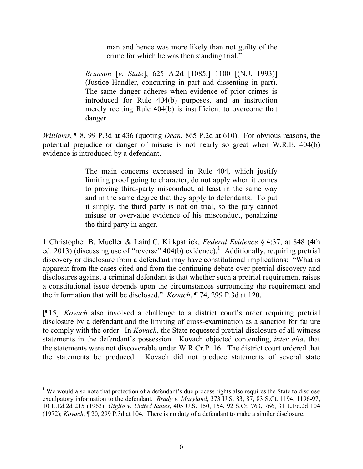man and hence was more likely than not guilty of the crime for which he was then standing trial."

*Brunson* [*v. State*], 625 A.2d [1085,] 1100 [(N.J. 1993)] (Justice Handler, concurring in part and dissenting in part). The same danger adheres when evidence of prior crimes is introduced for Rule 404(b) purposes, and an instruction merely reciting Rule 404(b) is insufficient to overcome that danger.

*Williams*, ¶ 8, 99 P.3d at 436 (quoting *Dean*, 865 P.2d at 610). For obvious reasons, the potential prejudice or danger of misuse is not nearly so great when W.R.E. 404(b) evidence is introduced by a defendant.

> The main concerns expressed in Rule 404, which justify limiting proof going to character, do not apply when it comes to proving third-party misconduct, at least in the same way and in the same degree that they apply to defendants. To put it simply, the third party is not on trial, so the jury cannot misuse or overvalue evidence of his misconduct, penalizing the third party in anger.

1 Christopher B. Mueller & Laird C. Kirkpatrick, *Federal Evidence* § 4:37, at 848 (4th ed. 2013) (discussing use of "reverse"  $404(b)$  evidence).<sup>1</sup> Additionally, requiring pretrial discovery or disclosure from a defendant may have constitutional implications: "What is apparent from the cases cited and from the continuing debate over pretrial discovery and disclosures against a criminal defendant is that whether such a pretrial requirement raises a constitutional issue depends upon the circumstances surrounding the requirement and the information that will be disclosed." *Kovach*, ¶ 74, 299 P.3d at 120.

[¶15] *Kovach* also involved a challenge to a district court's order requiring pretrial disclosure by a defendant and the limiting of cross-examination as a sanction for failure to comply with the order. In *Kovach*, the State requested pretrial disclosure of all witness statements in the defendant's possession. Kovach objected contending, *inter alia*, that the statements were not discoverable under W.R.Cr.P. 16. The district court ordered that the statements be produced. Kovach did not produce statements of several state

 $\overline{a}$ 

<sup>&</sup>lt;sup>1</sup> We would also note that protection of a defendant's due process rights also requires the State to disclose exculpatory information to the defendant. *Brady v. Maryland*, 373 U.S. 83, 87, 83 S.Ct. 1194, 1196-97, 10 L.Ed.2d 215 (1963); *Giglio v. United States*, 405 U.S. 150, 154, 92 S.Ct. 763, 766, 31 L.Ed.2d 104 (1972); *Kovach*, ¶ 20, 299 P.3d at 104. There is no duty of a defendant to make a similar disclosure.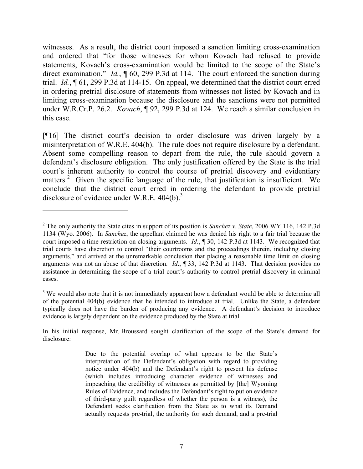witnesses. As a result, the district court imposed a sanction limiting cross-examination and ordered that "for those witnesses for whom Kovach had refused to provide statements, Kovach's cross-examination would be limited to the scope of the State's direct examination." *Id.*, ¶ 60, 299 P.3d at 114. The court enforced the sanction during trial. *Id.*, ¶ 61, 299 P.3d at 114-15. On appeal, we determined that the district court erred in ordering pretrial disclosure of statements from witnesses not listed by Kovach and in limiting cross-examination because the disclosure and the sanctions were not permitted under W.R.Cr.P. 26.2. *Kovach*, ¶ 92, 299 P.3d at 124. We reach a similar conclusion in this case.

[¶16] The district court's decision to order disclosure was driven largely by a misinterpretation of W.R.E. 404(b). The rule does not require disclosure by a defendant. Absent some compelling reason to depart from the rule, the rule should govern a defendant's disclosure obligation. The only justification offered by the State is the trial court's inherent authority to control the course of pretrial discovery and evidentiary matters.<sup>2</sup> Given the specific language of the rule, that justification is insufficient. We conclude that the district court erred in ordering the defendant to provide pretrial disclosure of evidence under W.R.E.  $404(b)$ .<sup>3</sup>

 $\overline{a}$ 

<sup>2</sup> The only authority the State cites in support of its position is *Sanchez v. State*, 2006 WY 116, 142 P.3d 1134 (Wyo. 2006). In *Sanchez*, the appellant claimed he was denied his right to a fair trial because the court imposed a time restriction on closing arguments. *Id*., ¶ 30, 142 P.3d at 1143. We recognized that trial courts have discretion to control "their courtrooms and the proceedings therein, including closing arguments," and arrived at the unremarkable conclusion that placing a reasonable time limit on closing arguments was not an abuse of that discretion. *Id*., ¶ 33, 142 P.3d at 1143. That decision provides no assistance in determining the scope of a trial court's authority to control pretrial discovery in criminal cases.

<sup>&</sup>lt;sup>3</sup> We would also note that it is not immediately apparent how a defendant would be able to determine all of the potential 404(b) evidence that he intended to introduce at trial. Unlike the State, a defendant typically does not have the burden of producing any evidence. A defendant's decision to introduce evidence is largely dependent on the evidence produced by the State at trial.

In his initial response, Mr. Broussard sought clarification of the scope of the State's demand for disclosure:

Due to the potential overlap of what appears to be the State's interpretation of the Defendant's obligation with regard to providing notice under 404(b) and the Defendant's right to present his defense (which includes introducing character evidence of witnesses and impeaching the credibility of witnesses as permitted by [the] Wyoming Rules of Evidence, and includes the Defendant's right to put on evidence of third-party guilt regardless of whether the person is a witness), the Defendant seeks clarification from the State as to what its Demand actually requests pre-trial, the authority for such demand, and a pre-trial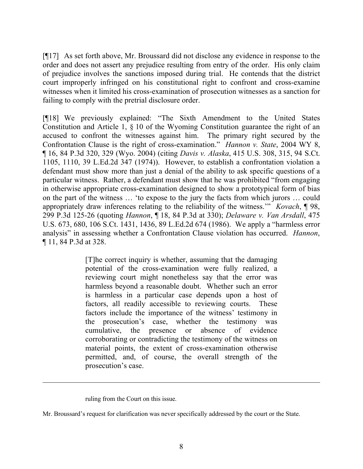[¶17] As set forth above, Mr. Broussard did not disclose any evidence in response to the order and does not assert any prejudice resulting from entry of the order. His only claim of prejudice involves the sanctions imposed during trial. He contends that the district court improperly infringed on his constitutional right to confront and cross-examine witnesses when it limited his cross-examination of prosecution witnesses as a sanction for failing to comply with the pretrial disclosure order.

[¶18] We previously explained: "The Sixth Amendment to the United States Constitution and Article 1, § 10 of the Wyoming Constitution guarantee the right of an accused to confront the witnesses against him. The primary right secured by the Confrontation Clause is the right of cross-examination." *Hannon v. State*, 2004 WY 8, ¶ 16, 84 P.3d 320, 329 (Wyo. 2004) (citing *Davis v. Alaska*, 415 U.S. 308, 315, 94 S.Ct. 1105, 1110, 39 L.Ed.2d 347 (1974)). However, to establish a confrontation violation a defendant must show more than just a denial of the ability to ask specific questions of a particular witness. Rather, a defendant must show that he was prohibited "from engaging in otherwise appropriate cross-examination designed to show a prototypical form of bias on the part of the witness … 'to expose to the jury the facts from which jurors … could appropriately draw inferences relating to the reliability of the witness.'" *Kovach*, ¶ 98, 299 P.3d 125-26 (quoting *Hannon*, ¶ 18, 84 P.3d at 330); *Delaware v. Van Arsdall*, 475 U.S. 673, 680, 106 S.Ct. 1431, 1436, 89 L.Ed.2d 674 (1986). We apply a "harmless error analysis" in assessing whether a Confrontation Clause violation has occurred. *Hannon*, ¶ 11, 84 P.3d at 328.

> [T]he correct inquiry is whether, assuming that the damaging potential of the cross-examination were fully realized, a reviewing court might nonetheless say that the error was harmless beyond a reasonable doubt. Whether such an error is harmless in a particular case depends upon a host of factors, all readily accessible to reviewing courts. These factors include the importance of the witness' testimony in the prosecution's case, whether the testimony was cumulative, the presence or absence of evidence corroborating or contradicting the testimony of the witness on material points, the extent of cross-examination otherwise permitted, and, of course, the overall strength of the prosecution's case.

ruling from the Court on this issue.

 $\overline{a}$ 

Mr. Broussard's request for clarification was never specifically addressed by the court or the State.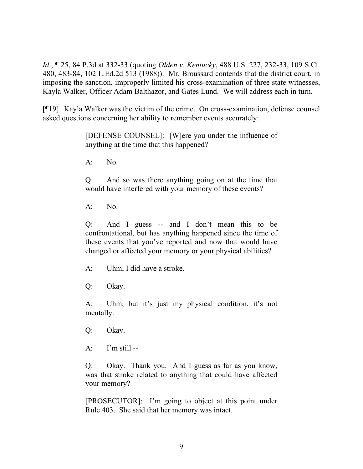*Id*., ¶ 25, 84 P.3d at 332-33 (quoting *Olden v. Kentucky*, 488 U.S. 227, 232-33, 109 S.Ct. 480, 483-84, 102 L.Ed.2d 513 (1988)). Mr. Broussard contends that the district court, in imposing the sanction, improperly limited his cross-examination of three state witnesses, Kayla Walker, Officer Adam Balthazor, and Gates Lund. We will address each in turn.

[¶19] Kayla Walker was the victim of the crime. On cross-examination, defense counsel asked questions concerning her ability to remember events accurately:

> [DEFENSE COUNSEL]: [W]ere you under the influence of anything at the time that this happened?

A: No.

Q: And so was there anything going on at the time that would have interfered with your memory of these events?

 $A^T$  No.

Q: And I guess -- and I don't mean this to be confrontational, but has anything happened since the time of these events that you've reported and now that would have changed or affected your memory or your physical abilities?

A: Uhm, I did have a stroke.

Q: Okay.

A: Uhm, but it's just my physical condition, it's not mentally.

Q: Okay.

 $A:$  I'm still --

Q: Okay. Thank you. And I guess as far as you know, was that stroke related to anything that could have affected your memory?

[PROSECUTOR]: I'm going to object at this point under Rule 403. She said that her memory was intact.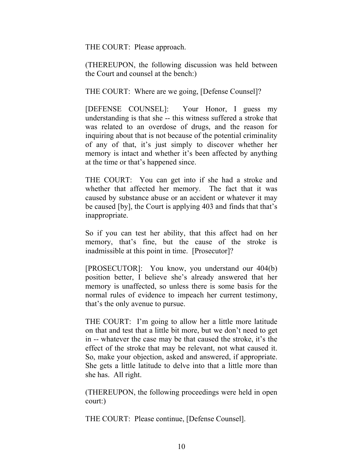THE COURT: Please approach.

(THEREUPON, the following discussion was held between the Court and counsel at the bench:)

THE COURT: Where are we going, [Defense Counsel]?

[DEFENSE COUNSEL]: Your Honor, I guess my understanding is that she -- this witness suffered a stroke that was related to an overdose of drugs, and the reason for inquiring about that is not because of the potential criminality of any of that, it's just simply to discover whether her memory is intact and whether it's been affected by anything at the time or that's happened since.

THE COURT: You can get into if she had a stroke and whether that affected her memory. The fact that it was caused by substance abuse or an accident or whatever it may be caused [by], the Court is applying 403 and finds that that's inappropriate.

So if you can test her ability, that this affect had on her memory, that's fine, but the cause of the stroke is inadmissible at this point in time. [Prosecutor]?

[PROSECUTOR]: You know, you understand our 404(b) position better, I believe she's already answered that her memory is unaffected, so unless there is some basis for the normal rules of evidence to impeach her current testimony, that's the only avenue to pursue.

THE COURT: I'm going to allow her a little more latitude on that and test that a little bit more, but we don't need to get in -- whatever the case may be that caused the stroke, it's the effect of the stroke that may be relevant, not what caused it. So, make your objection, asked and answered, if appropriate. She gets a little latitude to delve into that a little more than she has. All right.

(THEREUPON, the following proceedings were held in open court:)

THE COURT: Please continue, [Defense Counsel].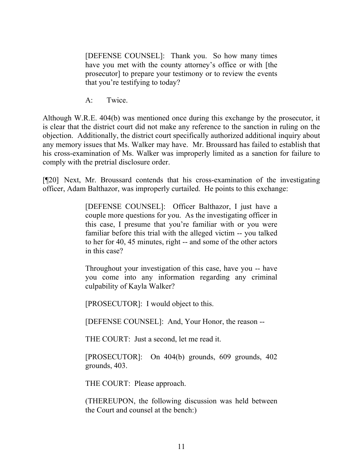[DEFENSE COUNSEL]: Thank you. So how many times have you met with the county attorney's office or with [the prosecutor] to prepare your testimony or to review the events that you're testifying to today?

A: Twice.

Although W.R.E. 404(b) was mentioned once during this exchange by the prosecutor, it is clear that the district court did not make any reference to the sanction in ruling on the objection. Additionally, the district court specifically authorized additional inquiry about any memory issues that Ms. Walker may have. Mr. Broussard has failed to establish that his cross-examination of Ms. Walker was improperly limited as a sanction for failure to comply with the pretrial disclosure order.

[¶20] Next, Mr. Broussard contends that his cross-examination of the investigating officer, Adam Balthazor, was improperly curtailed. He points to this exchange:

> [DEFENSE COUNSEL]: Officer Balthazor, I just have a couple more questions for you. As the investigating officer in this case, I presume that you're familiar with or you were familiar before this trial with the alleged victim -- you talked to her for 40, 45 minutes, right -- and some of the other actors in this case?

> Throughout your investigation of this case, have you -- have you come into any information regarding any criminal culpability of Kayla Walker?

[PROSECUTOR]: I would object to this.

[DEFENSE COUNSEL]: And, Your Honor, the reason --

THE COURT: Just a second, let me read it.

[PROSECUTOR]: On 404(b) grounds, 609 grounds, 402 grounds, 403.

THE COURT: Please approach.

(THEREUPON, the following discussion was held between the Court and counsel at the bench:)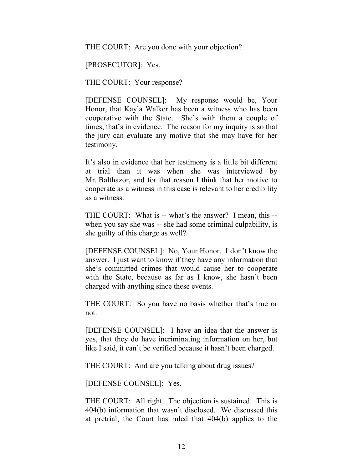THE COURT: Are you done with your objection?

[PROSECUTOR]: Yes.

THE COURT: Your response?

[DEFENSE COUNSEL]: My response would be, Your Honor, that Kayla Walker has been a witness who has been cooperative with the State. She's with them a couple of times, that's in evidence. The reason for my inquiry is so that the jury can evaluate any motive that she may have for her testimony.

It's also in evidence that her testimony is a little bit different at trial than it was when she was interviewed by Mr. Balthazor, and for that reason I think that her motive to cooperate as a witness in this case is relevant to her credibility as a witness.

THE COURT: What is -- what's the answer? I mean, this - when you say she was -- she had some criminal culpability, is she guilty of this charge as well?

[DEFENSE COUNSEL]: No, Your Honor. I don't know the answer. I just want to know if they have any information that she's committed crimes that would cause her to cooperate with the State, because as far as I know, she hasn't been charged with anything since these events.

THE COURT: So you have no basis whether that's true or not.

[DEFENSE COUNSEL]: I have an idea that the answer is yes, that they do have incriminating information on her, but like I said, it can't be verified because it hasn't been charged.

THE COURT: And are you talking about drug issues?

[DEFENSE COUNSEL]: Yes.

THE COURT: All right. The objection is sustained. This is 404(b) information that wasn't disclosed. We discussed this at pretrial, the Court has ruled that 404(b) applies to the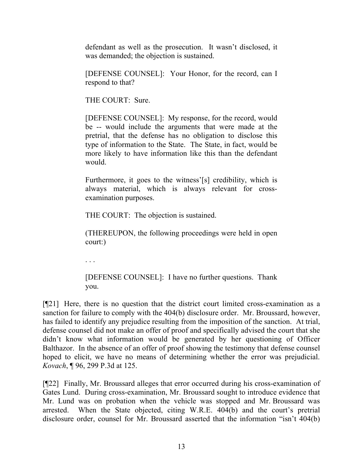defendant as well as the prosecution. It wasn't disclosed, it was demanded; the objection is sustained.

[DEFENSE COUNSEL]: Your Honor, for the record, can I respond to that?

THE COURT: Sure.

[DEFENSE COUNSEL]: My response, for the record, would be -- would include the arguments that were made at the pretrial, that the defense has no obligation to disclose this type of information to the State. The State, in fact, would be more likely to have information like this than the defendant would.

Furthermore, it goes to the witness'[s] credibility, which is always material, which is always relevant for crossexamination purposes.

THE COURT: The objection is sustained.

(THEREUPON, the following proceedings were held in open court:)

. . .

[DEFENSE COUNSEL]: I have no further questions. Thank you.

[¶21] Here, there is no question that the district court limited cross-examination as a sanction for failure to comply with the 404(b) disclosure order. Mr. Broussard, however, has failed to identify any prejudice resulting from the imposition of the sanction. At trial, defense counsel did not make an offer of proof and specifically advised the court that she didn't know what information would be generated by her questioning of Officer Balthazor. In the absence of an offer of proof showing the testimony that defense counsel hoped to elicit, we have no means of determining whether the error was prejudicial. *Kovach*, ¶ 96, 299 P.3d at 125.

[¶22] Finally, Mr. Broussard alleges that error occurred during his cross-examination of Gates Lund. During cross-examination, Mr. Broussard sought to introduce evidence that Mr. Lund was on probation when the vehicle was stopped and Mr. Broussard was arrested. When the State objected, citing W.R.E. 404(b) and the court's pretrial disclosure order, counsel for Mr. Broussard asserted that the information "isn't 404(b)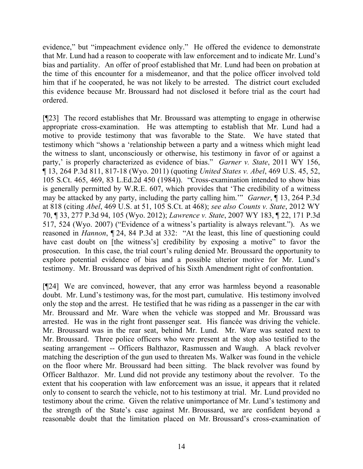evidence," but "impeachment evidence only." He offered the evidence to demonstrate that Mr. Lund had a reason to cooperate with law enforcement and to indicate Mr. Lund's bias and partiality. An offer of proof established that Mr. Lund had been on probation at the time of this encounter for a misdemeanor, and that the police officer involved told him that if he cooperated, he was not likely to be arrested. The district court excluded this evidence because Mr. Broussard had not disclosed it before trial as the court had ordered.

[¶23] The record establishes that Mr. Broussard was attempting to engage in otherwise appropriate cross-examination. He was attempting to establish that Mr. Lund had a motive to provide testimony that was favorable to the State. We have stated that testimony which "shows a 'relationship between a party and a witness which might lead the witness to slant, unconsciously or otherwise, his testimony in favor of or against a party,' is properly characterized as evidence of bias." *Garner v. State*, 2011 WY 156, ¶ 13, 264 P.3d 811, 817-18 (Wyo. 2011) (quoting *United States v. Abel*, 469 U.S. 45, 52, 105 S.Ct. 465, 469, 83 L.Ed.2d 450 (1984)). "Cross-examination intended to show bias is generally permitted by W.R.E. 607, which provides that 'The credibility of a witness may be attacked by any party, including the party calling him.'" *Garner*, ¶ 13, 264 P.3d at 818 (citing *Abel*, 469 U.S. at 51, 105 S.Ct. at 468); *see also Counts v. State*, 2012 WY 70, ¶ 33, 277 P.3d 94, 105 (Wyo. 2012); *Lawrence v. State*, 2007 WY 183, ¶ 22, 171 P.3d 517, 524 (Wyo. 2007) ("Evidence of a witness's partiality is always relevant."). As we reasoned in *Hannon*, ¶ 24, 84 P.3d at 332: "At the least, this line of questioning could have cast doubt on [the witness's] credibility by exposing a motive" to favor the prosecution. In this case, the trial court's ruling denied Mr. Broussard the opportunity to explore potential evidence of bias and a possible ulterior motive for Mr. Lund's testimony. Mr. Broussard was deprived of his Sixth Amendment right of confrontation.

[¶24] We are convinced, however, that any error was harmless beyond a reasonable doubt. Mr. Lund's testimony was, for the most part, cumulative. His testimony involved only the stop and the arrest. He testified that he was riding as a passenger in the car with Mr. Broussard and Mr. Ware when the vehicle was stopped and Mr. Broussard was arrested. He was in the right front passenger seat. His fiancée was driving the vehicle. Mr. Broussard was in the rear seat, behind Mr. Lund. Mr. Ware was seated next to Mr. Broussard. Three police officers who were present at the stop also testified to the seating arrangement -- Officers Balthazor, Rasmussen and Waugh. A black revolver matching the description of the gun used to threaten Ms. Walker was found in the vehicle on the floor where Mr. Broussard had been sitting. The black revolver was found by Officer Balthazor. Mr. Lund did not provide any testimony about the revolver. To the extent that his cooperation with law enforcement was an issue, it appears that it related only to consent to search the vehicle, not to his testimony at trial. Mr. Lund provided no testimony about the crime. Given the relative unimportance of Mr. Lund's testimony and the strength of the State's case against Mr. Broussard, we are confident beyond a reasonable doubt that the limitation placed on Mr. Broussard's cross-examination of